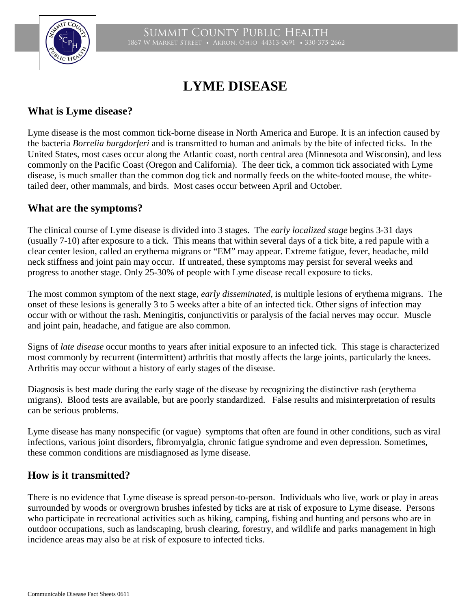

# **LYME DISEASE**

# **What is Lyme disease?**

Lyme disease is the most common tick-borne disease in North America and Europe. It is an infection caused by the bacteria *Borrelia burgdorferi* and is transmitted to human and animals by the bite of infected ticks. In the United States, most cases occur along the Atlantic coast, north central area (Minnesota and Wisconsin), and less commonly on the Pacific Coast (Oregon and California). The deer tick, a common tick associated with Lyme disease, is much smaller than the common dog tick and normally feeds on the white-footed mouse, the whitetailed deer, other mammals, and birds. Most cases occur between April and October.

### **What are the symptoms?**

The clinical course of Lyme disease is divided into 3 stages. The *early localized stage* begins 3-31 days (usually 7-10) after exposure to a tick. This means that within several days of a tick bite, a red papule with a clear center lesion, called an erythema migrans or "EM" may appear. Extreme fatigue, fever, headache, mild neck stiffness and joint pain may occur. If untreated, these symptoms may persist for several weeks and progress to another stage. Only 25-30% of people with Lyme disease recall exposure to ticks.

The most common symptom of the next stage, *early disseminated,* is multiple lesions of erythema migrans. The onset of these lesions is generally 3 to 5 weeks after a bite of an infected tick. Other signs of infection may occur with or without the rash. Meningitis, conjunctivitis or paralysis of the facial nerves may occur. Muscle and joint pain, headache, and fatigue are also common.

Signs of *late disease* occur months to years after initial exposure to an infected tick. This stage is characterized most commonly by recurrent (intermittent) arthritis that mostly affects the large joints, particularly the knees. Arthritis may occur without a history of early stages of the disease.

Diagnosis is best made during the early stage of the disease by recognizing the distinctive rash (erythema migrans). Blood tests are available, but are poorly standardized. False results and misinterpretation of results can be serious problems.

Lyme disease has many nonspecific (or vague) symptoms that often are found in other conditions, such as viral infections, various joint disorders, fibromyalgia, chronic fatigue syndrome and even depression. Sometimes, these common conditions are misdiagnosed as lyme disease.

## **How is it transmitted?**

There is no evidence that Lyme disease is spread person-to-person. Individuals who live, work or play in areas surrounded by woods or overgrown brushes infested by ticks are at risk of exposure to Lyme disease. Persons who participate in recreational activities such as hiking, camping, fishing and hunting and persons who are in outdoor occupations, such as landscaping, brush clearing, forestry, and wildlife and parks management in high incidence areas may also be at risk of exposure to infected ticks.